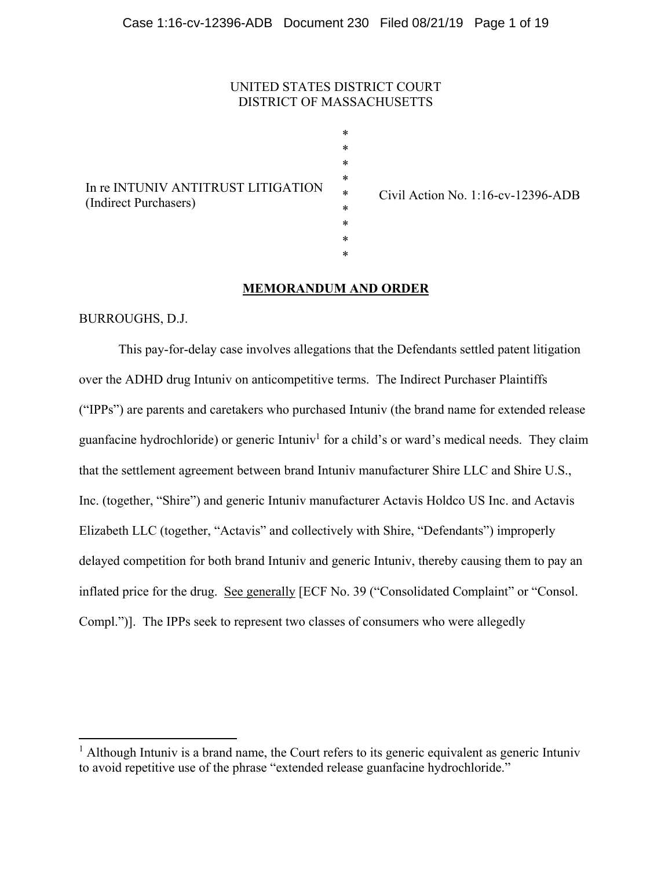# UNITED STATES DISTRICT COURT DISTRICT OF MASSACHUSETTS

\* \* \* \* \* \* \* \* \*

| In re INTUNIV ANTITRUST LITIGATION<br>(Indirect Purchasers) |  |
|-------------------------------------------------------------|--|

Civil Action No. 1:16-cv-12396-ADB

# **MEMORANDUM AND ORDER**

BURROUGHS, D.J.

 This pay-for-delay case involves allegations that the Defendants settled patent litigation over the ADHD drug Intuniv on anticompetitive terms. The Indirect Purchaser Plaintiffs ("IPPs") are parents and caretakers who purchased Intuniv (the brand name for extended release guanfacine hydrochloride) or generic Intuniv<sup>1</sup> for a child's or ward's medical needs. They claim that the settlement agreement between brand Intuniv manufacturer Shire LLC and Shire U.S., Inc. (together, "Shire") and generic Intuniv manufacturer Actavis Holdco US Inc. and Actavis Elizabeth LLC (together, "Actavis" and collectively with Shire, "Defendants") improperly delayed competition for both brand Intuniv and generic Intuniv, thereby causing them to pay an inflated price for the drug. See generally [ECF No. 39 ("Consolidated Complaint" or "Consol. Compl.")]. The IPPs seek to represent two classes of consumers who were allegedly

<sup>&</sup>lt;sup>1</sup> Although Intuniv is a brand name, the Court refers to its generic equivalent as generic Intuniv to avoid repetitive use of the phrase "extended release guanfacine hydrochloride."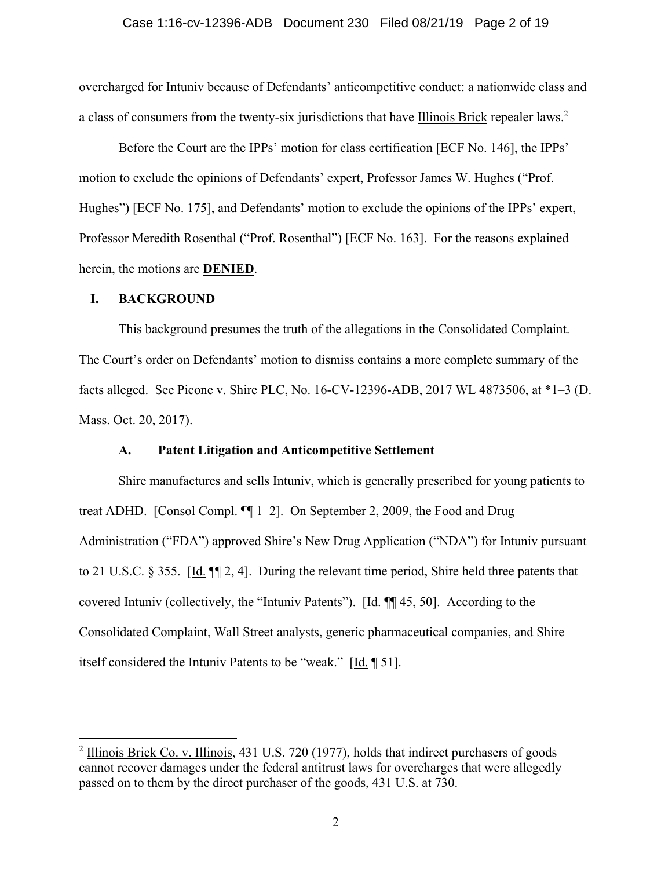### Case 1:16-cv-12396-ADB Document 230 Filed 08/21/19 Page 2 of 19

overcharged for Intuniv because of Defendants' anticompetitive conduct: a nationwide class and a class of consumers from the twenty-six jurisdictions that have Illinois Brick repealer laws.<sup>2</sup>

 Before the Court are the IPPs' motion for class certification [ECF No. 146], the IPPs' motion to exclude the opinions of Defendants' expert, Professor James W. Hughes ("Prof. Hughes") [ECF No. 175], and Defendants' motion to exclude the opinions of the IPPs' expert, Professor Meredith Rosenthal ("Prof. Rosenthal") [ECF No. 163]. For the reasons explained herein, the motions are **DENIED**.

# **I. BACKGROUND**

This background presumes the truth of the allegations in the Consolidated Complaint. The Court's order on Defendants' motion to dismiss contains a more complete summary of the facts alleged. See Picone v. Shire PLC, No. 16-CV-12396-ADB, 2017 WL 4873506, at \*1–3 (D. Mass. Oct. 20, 2017).

# **A. Patent Litigation and Anticompetitive Settlement**

Shire manufactures and sells Intuniv, which is generally prescribed for young patients to treat ADHD. [Consol Compl. ¶¶ 1–2]. On September 2, 2009, the Food and Drug Administration ("FDA") approved Shire's New Drug Application ("NDA") for Intuniv pursuant to 21 U.S.C. § 355. [Id.  $\P$  2, 4]. During the relevant time period, Shire held three patents that covered Intuniv (collectively, the "Intuniv Patents"). [Id. ¶¶ 45, 50]. According to the Consolidated Complaint, Wall Street analysts, generic pharmaceutical companies, and Shire itself considered the Intuniv Patents to be "weak."  $[\underline{Id}, \P 51]$ .

 $2$  Illinois Brick Co. v. Illinois, 431 U.S. 720 (1977), holds that indirect purchasers of goods cannot recover damages under the federal antitrust laws for overcharges that were allegedly passed on to them by the direct purchaser of the goods, 431 U.S. at 730.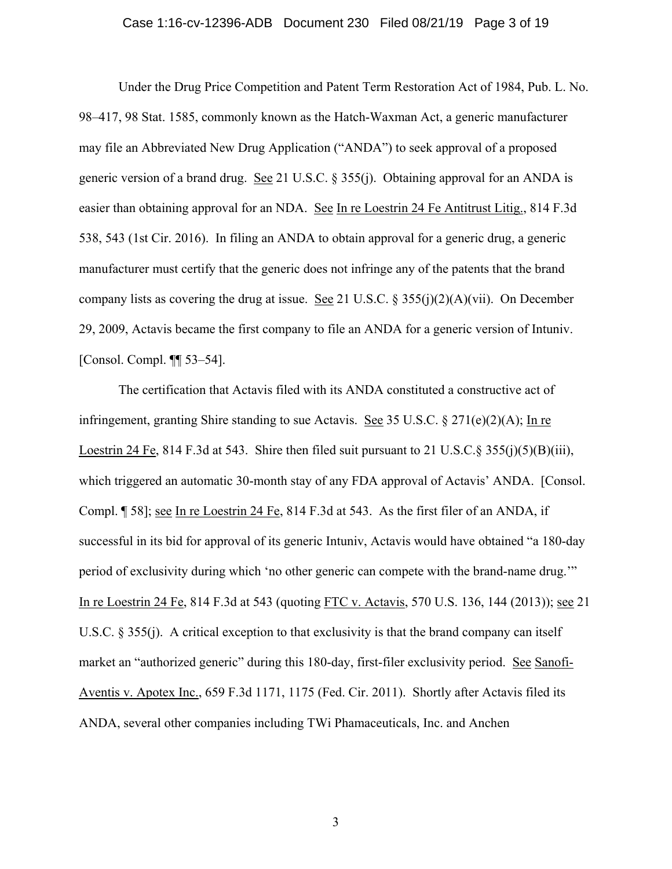### Case 1:16-cv-12396-ADB Document 230 Filed 08/21/19 Page 3 of 19

Under the Drug Price Competition and Patent Term Restoration Act of 1984, Pub. L. No. 98–417, 98 Stat. 1585, commonly known as the Hatch-Waxman Act, a generic manufacturer may file an Abbreviated New Drug Application ("ANDA") to seek approval of a proposed generic version of a brand drug. See 21 U.S.C. § 355(j). Obtaining approval for an ANDA is easier than obtaining approval for an NDA. See In re Loestrin 24 Fe Antitrust Litig., 814 F.3d 538, 543 (1st Cir. 2016). In filing an ANDA to obtain approval for a generic drug, a generic manufacturer must certify that the generic does not infringe any of the patents that the brand company lists as covering the drug at issue. See 21 U.S.C.  $\S 355(j)(2)(A)(vii)$ . On December 29, 2009, Actavis became the first company to file an ANDA for a generic version of Intuniv. [Consol. Compl. ¶¶ 53–54].

The certification that Actavis filed with its ANDA constituted a constructive act of infringement, granting Shire standing to sue Actavis. See 35 U.S.C.  $\S 271(e)(2)(A)$ ; In re Loestrin 24 Fe, 814 F.3d at 543. Shire then filed suit pursuant to 21 U.S.C. § 355(j)(5)(B)(iii), which triggered an automatic 30-month stay of any FDA approval of Actavis' ANDA. [Consol. Compl. [58]; see In re Loestrin 24 Fe, 814 F.3d at 543. As the first filer of an ANDA, if successful in its bid for approval of its generic Intuniv, Actavis would have obtained "a 180-day period of exclusivity during which 'no other generic can compete with the brand-name drug.'" In re Loestrin 24 Fe, 814 F.3d at 543 (quoting FTC v. Actavis, 570 U.S. 136, 144 (2013)); see 21 U.S.C. § 355(j). A critical exception to that exclusivity is that the brand company can itself market an "authorized generic" during this 180-day, first-filer exclusivity period. See Sanofi-Aventis v. Apotex Inc., 659 F.3d 1171, 1175 (Fed. Cir. 2011). Shortly after Actavis filed its ANDA, several other companies including TWi Phamaceuticals, Inc. and Anchen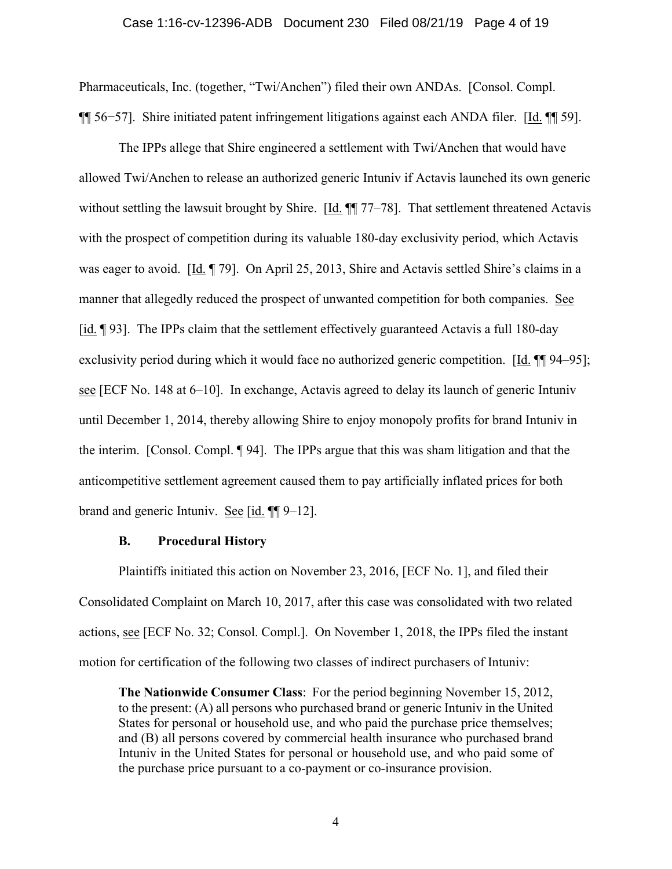#### Case 1:16-cv-12396-ADB Document 230 Filed 08/21/19 Page 4 of 19

Pharmaceuticals, Inc. (together, "Twi/Anchen") filed their own ANDAs. [Consol. Compl. ¶¶ 56−57]. Shire initiated patent infringement litigations against each ANDA filer. [Id. ¶¶ 59].

The IPPs allege that Shire engineered a settlement with Twi/Anchen that would have allowed Twi/Anchen to release an authorized generic Intuniv if Actavis launched its own generic without settling the lawsuit brought by Shire. [Id.  $\P$ ] 77–78]. That settlement threatened Actavis with the prospect of competition during its valuable 180-day exclusivity period, which Actavis was eager to avoid. [Id. ¶ 79]. On April 25, 2013, Shire and Actavis settled Shire's claims in a manner that allegedly reduced the prospect of unwanted competition for both companies. See [id. ¶ 93]. The IPPs claim that the settlement effectively guaranteed Actavis a full 180-day exclusivity period during which it would face no authorized generic competition. [Id.  $\P$ ] 94–95]; see [ECF No. 148 at 6–10]. In exchange, Actavis agreed to delay its launch of generic Intuniv until December 1, 2014, thereby allowing Shire to enjoy monopoly profits for brand Intuniv in the interim. [Consol. Compl. ¶ 94]. The IPPs argue that this was sham litigation and that the anticompetitive settlement agreement caused them to pay artificially inflated prices for both brand and generic Intuniv. See [id. ¶[9–12].

#### **B. Procedural History**

Plaintiffs initiated this action on November 23, 2016, [ECF No. 1], and filed their Consolidated Complaint on March 10, 2017, after this case was consolidated with two related actions, see [ECF No. 32; Consol. Compl.]. On November 1, 2018, the IPPs filed the instant motion for certification of the following two classes of indirect purchasers of Intuniv:

**The Nationwide Consumer Class**: For the period beginning November 15, 2012, to the present: (A) all persons who purchased brand or generic Intuniv in the United States for personal or household use, and who paid the purchase price themselves; and (B) all persons covered by commercial health insurance who purchased brand Intuniv in the United States for personal or household use, and who paid some of the purchase price pursuant to a co-payment or co-insurance provision.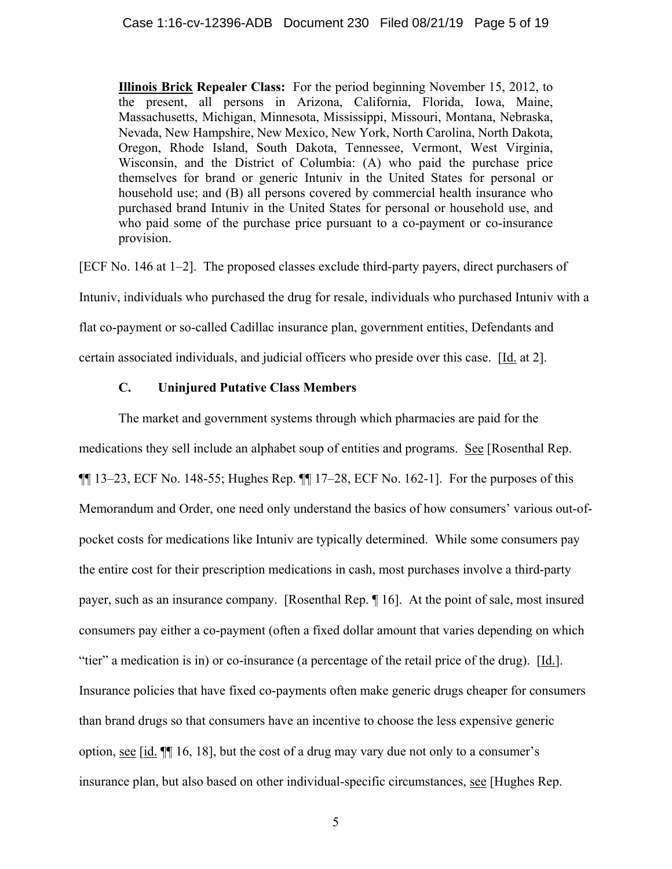**Illinois Brick Repealer Class:** For the period beginning November 15, 2012, to the present, all persons in Arizona, California, Florida, Iowa, Maine, Massachusetts, Michigan, Minnesota, Mississippi, Missouri, Montana, Nebraska, Nevada, New Hampshire, New Mexico, New York, North Carolina, North Dakota, Oregon, Rhode Island, South Dakota, Tennessee, Vermont, West Virginia, Wisconsin, and the District of Columbia: (A) who paid the purchase price themselves for brand or generic Intuniv in the United States for personal or household use; and (B) all persons covered by commercial health insurance who purchased brand Intuniv in the United States for personal or household use, and who paid some of the purchase price pursuant to a co-payment or co-insurance provision.

[ECF No. 146 at 1–2]. The proposed classes exclude third-party payers, direct purchasers of Intuniv, individuals who purchased the drug for resale, individuals who purchased Intuniv with a flat co-payment or so-called Cadillac insurance plan, government entities, Defendants and certain associated individuals, and judicial officers who preside over this case. [Id. at 2].

# **C. Uninjured Putative Class Members**

The market and government systems through which pharmacies are paid for the medications they sell include an alphabet soup of entities and programs. See [Rosenthal Rep.  $\P$ [ 13–23, ECF No. 148-55; Hughes Rep.  $\P$ [ 17–28, ECF No. 162-1]. For the purposes of this Memorandum and Order, one need only understand the basics of how consumers' various out-ofpocket costs for medications like Intuniv are typically determined. While some consumers pay the entire cost for their prescription medications in cash, most purchases involve a third-party payer, such as an insurance company. [Rosenthal Rep. ¶ 16]. At the point of sale, most insured consumers pay either a co-payment (often a fixed dollar amount that varies depending on which "tier" a medication is in) or co-insurance (a percentage of the retail price of the drug). [Id.]. Insurance policies that have fixed co-payments often make generic drugs cheaper for consumers than brand drugs so that consumers have an incentive to choose the less expensive generic option, see [id. ¶¶ 16, 18], but the cost of a drug may vary due not only to a consumer's insurance plan, but also based on other individual-specific circumstances, see [Hughes Rep.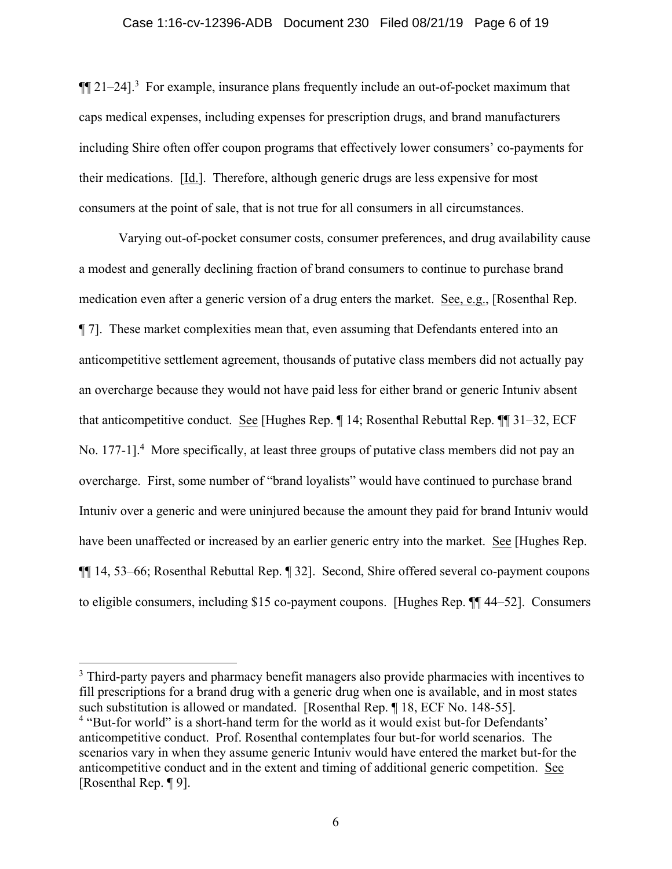### Case 1:16-cv-12396-ADB Document 230 Filed 08/21/19 Page 6 of 19

 $\P$ [21–24].<sup>3</sup> For example, insurance plans frequently include an out-of-pocket maximum that caps medical expenses, including expenses for prescription drugs, and brand manufacturers including Shire often offer coupon programs that effectively lower consumers' co-payments for their medications. [Id.]. Therefore, although generic drugs are less expensive for most consumers at the point of sale, that is not true for all consumers in all circumstances.

Varying out-of-pocket consumer costs, consumer preferences, and drug availability cause a modest and generally declining fraction of brand consumers to continue to purchase brand medication even after a generic version of a drug enters the market. See, e.g., [Rosenthal Rep. ¶ 7]. These market complexities mean that, even assuming that Defendants entered into an anticompetitive settlement agreement, thousands of putative class members did not actually pay an overcharge because they would not have paid less for either brand or generic Intuniv absent that anticompetitive conduct. See [Hughes Rep. ¶ 14; Rosenthal Rebuttal Rep. ¶¶ 31–32, ECF No. 177-1].<sup>4</sup> More specifically, at least three groups of putative class members did not pay an overcharge. First, some number of "brand loyalists" would have continued to purchase brand Intuniv over a generic and were uninjured because the amount they paid for brand Intuniv would have been unaffected or increased by an earlier generic entry into the market. See [Hughes Rep. ¶¶ 14, 53–66; Rosenthal Rebuttal Rep. ¶ 32]. Second, Shire offered several co-payment coupons to eligible consumers, including \$15 co-payment coupons. [Hughes Rep. ¶¶ 44–52]. Consumers

 $3$  Third-party payers and pharmacy benefit managers also provide pharmacies with incentives to fill prescriptions for a brand drug with a generic drug when one is available, and in most states such substitution is allowed or mandated. [Rosenthal Rep. ¶ 18, ECF No. 148-55]. <sup>4</sup> "But-for world" is a short-hand term for the world as it would exist but-for Defendants' anticompetitive conduct. Prof. Rosenthal contemplates four but-for world scenarios. The scenarios vary in when they assume generic Intuniv would have entered the market but-for the anticompetitive conduct and in the extent and timing of additional generic competition. See [Rosenthal Rep. ¶ 9].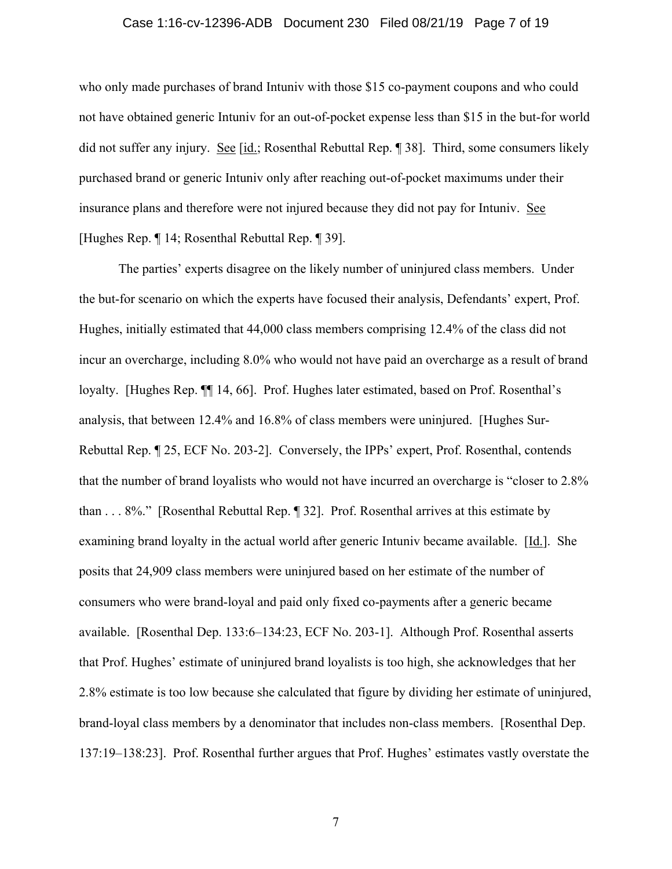## Case 1:16-cv-12396-ADB Document 230 Filed 08/21/19 Page 7 of 19

who only made purchases of brand Intuniv with those \$15 co-payment coupons and who could not have obtained generic Intuniv for an out-of-pocket expense less than \$15 in the but-for world did not suffer any injury. See [id.; Rosenthal Rebuttal Rep. ¶ 38]. Third, some consumers likely purchased brand or generic Intuniv only after reaching out-of-pocket maximums under their insurance plans and therefore were not injured because they did not pay for Intuniv. See [Hughes Rep. ¶ 14; Rosenthal Rebuttal Rep. ¶ 39].

The parties' experts disagree on the likely number of uninjured class members. Under the but-for scenario on which the experts have focused their analysis, Defendants' expert, Prof. Hughes, initially estimated that 44,000 class members comprising 12.4% of the class did not incur an overcharge, including 8.0% who would not have paid an overcharge as a result of brand loyalty. [Hughes Rep. ¶¶ 14, 66]. Prof. Hughes later estimated, based on Prof. Rosenthal's analysis, that between 12.4% and 16.8% of class members were uninjured. [Hughes Sur-Rebuttal Rep. ¶ 25, ECF No. 203-2]. Conversely, the IPPs' expert, Prof. Rosenthal, contends that the number of brand loyalists who would not have incurred an overcharge is "closer to 2.8% than . . . 8%." [Rosenthal Rebuttal Rep. ¶ 32]. Prof. Rosenthal arrives at this estimate by examining brand loyalty in the actual world after generic Intuniv became available. [Id.]. She posits that 24,909 class members were uninjured based on her estimate of the number of consumers who were brand-loyal and paid only fixed co-payments after a generic became available. [Rosenthal Dep. 133:6–134:23, ECF No. 203-1]. Although Prof. Rosenthal asserts that Prof. Hughes' estimate of uninjured brand loyalists is too high, she acknowledges that her 2.8% estimate is too low because she calculated that figure by dividing her estimate of uninjured, brand-loyal class members by a denominator that includes non-class members. [Rosenthal Dep. 137:19–138:23]. Prof. Rosenthal further argues that Prof. Hughes' estimates vastly overstate the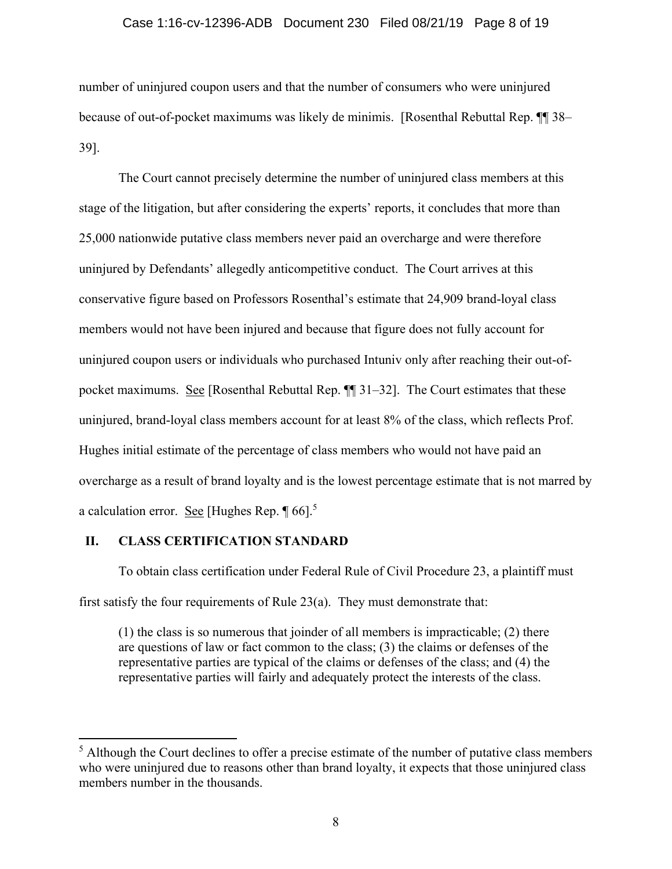### Case 1:16-cv-12396-ADB Document 230 Filed 08/21/19 Page 8 of 19

number of uninjured coupon users and that the number of consumers who were uninjured because of out-of-pocket maximums was likely de minimis. [Rosenthal Rebuttal Rep. ¶¶ 38– 39].

The Court cannot precisely determine the number of uninjured class members at this stage of the litigation, but after considering the experts' reports, it concludes that more than 25,000 nationwide putative class members never paid an overcharge and were therefore uninjured by Defendants' allegedly anticompetitive conduct. The Court arrives at this conservative figure based on Professors Rosenthal's estimate that 24,909 brand-loyal class members would not have been injured and because that figure does not fully account for uninjured coupon users or individuals who purchased Intuniv only after reaching their out-ofpocket maximums. See [Rosenthal Rebuttal Rep. ¶¶ 31–32]. The Court estimates that these uninjured, brand-loyal class members account for at least 8% of the class, which reflects Prof. Hughes initial estimate of the percentage of class members who would not have paid an overcharge as a result of brand loyalty and is the lowest percentage estimate that is not marred by a calculation error. See [Hughes Rep.  $\P$  66].<sup>5</sup>

# **II. CLASS CERTIFICATION STANDARD**

 To obtain class certification under Federal Rule of Civil Procedure 23, a plaintiff must first satisfy the four requirements of Rule 23(a). They must demonstrate that:

(1) the class is so numerous that joinder of all members is impracticable; (2) there are questions of law or fact common to the class; (3) the claims or defenses of the representative parties are typical of the claims or defenses of the class; and (4) the representative parties will fairly and adequately protect the interests of the class.

 $<sup>5</sup>$  Although the Court declines to offer a precise estimate of the number of putative class members</sup> who were uninjured due to reasons other than brand loyalty, it expects that those uninjured class members number in the thousands.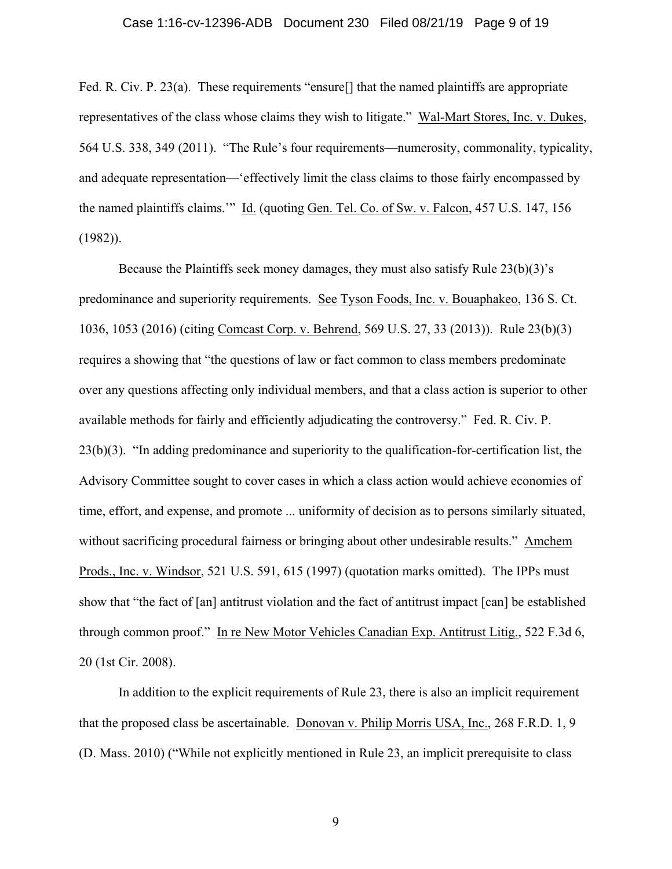### Case 1:16-cv-12396-ADB Document 230 Filed 08/21/19 Page 9 of 19

Fed. R. Civ. P. 23(a). These requirements "ensure<sup>[]</sup> that the named plaintiffs are appropriate representatives of the class whose claims they wish to litigate." Wal-Mart Stores, Inc. v. Dukes, 564 U.S. 338, 349 (2011). "The Rule's four requirements—numerosity, commonality, typicality, and adequate representation—'effectively limit the class claims to those fairly encompassed by the named plaintiffs claims.'" Id. (quoting Gen. Tel. Co. of Sw. v. Falcon, 457 U.S. 147, 156 (1982)).

Because the Plaintiffs seek money damages, they must also satisfy Rule 23(b)(3)'s predominance and superiority requirements. See Tyson Foods, Inc. v. Bouaphakeo, 136 S. Ct. 1036, 1053 (2016) (citing Comcast Corp. v. Behrend, 569 U.S. 27, 33 (2013)). Rule 23(b)(3) requires a showing that "the questions of law or fact common to class members predominate over any questions affecting only individual members, and that a class action is superior to other available methods for fairly and efficiently adjudicating the controversy." Fed. R. Civ. P. 23(b)(3). "In adding predominance and superiority to the qualification-for-certification list, the Advisory Committee sought to cover cases in which a class action would achieve economies of time, effort, and expense, and promote ... uniformity of decision as to persons similarly situated, without sacrificing procedural fairness or bringing about other undesirable results." Amchem Prods., Inc. v. Windsor, 521 U.S. 591, 615 (1997) (quotation marks omitted). The IPPs must show that "the fact of [an] antitrust violation and the fact of antitrust impact [can] be established through common proof." In re New Motor Vehicles Canadian Exp. Antitrust Litig., 522 F.3d 6, 20 (1st Cir. 2008).

In addition to the explicit requirements of Rule 23, there is also an implicit requirement that the proposed class be ascertainable. Donovan v. Philip Morris USA, Inc., 268 F.R.D. 1, 9 (D. Mass. 2010) ("While not explicitly mentioned in Rule 23, an implicit prerequisite to class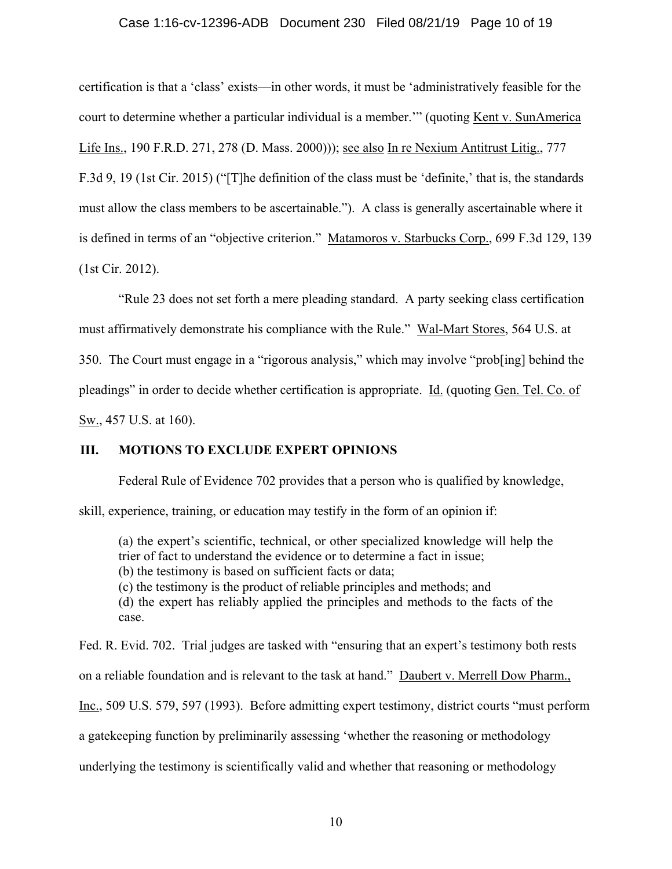# Case 1:16-cv-12396-ADB Document 230 Filed 08/21/19 Page 10 of 19

certification is that a 'class' exists—in other words, it must be 'administratively feasible for the court to determine whether a particular individual is a member.'" (quoting Kent v. SunAmerica Life Ins., 190 F.R.D. 271, 278 (D. Mass. 2000))); see also In re Nexium Antitrust Litig., 777 F.3d 9, 19 (1st Cir. 2015) ("[T]he definition of the class must be 'definite,' that is, the standards must allow the class members to be ascertainable."). A class is generally ascertainable where it is defined in terms of an "objective criterion." Matamoros v. Starbucks Corp., 699 F.3d 129, 139 (1st Cir. 2012).

"Rule 23 does not set forth a mere pleading standard. A party seeking class certification must affirmatively demonstrate his compliance with the Rule." Wal-Mart Stores, 564 U.S. at 350. The Court must engage in a "rigorous analysis," which may involve "prob[ing] behind the pleadings" in order to decide whether certification is appropriate. Id. (quoting Gen. Tel. Co. of Sw., 457 U.S. at 160).

## **III. MOTIONS TO EXCLUDE EXPERT OPINIONS**

Federal Rule of Evidence 702 provides that a person who is qualified by knowledge,

skill, experience, training, or education may testify in the form of an opinion if:

(a) the expert's scientific, technical, or other specialized knowledge will help the trier of fact to understand the evidence or to determine a fact in issue;

(b) the testimony is based on sufficient facts or data;

(c) the testimony is the product of reliable principles and methods; and

(d) the expert has reliably applied the principles and methods to the facts of the case.

Fed. R. Evid. 702. Trial judges are tasked with "ensuring that an expert's testimony both rests on a reliable foundation and is relevant to the task at hand." Daubert v. Merrell Dow Pharm.,

Inc., 509 U.S. 579, 597 (1993). Before admitting expert testimony, district courts "must perform

a gatekeeping function by preliminarily assessing 'whether the reasoning or methodology

underlying the testimony is scientifically valid and whether that reasoning or methodology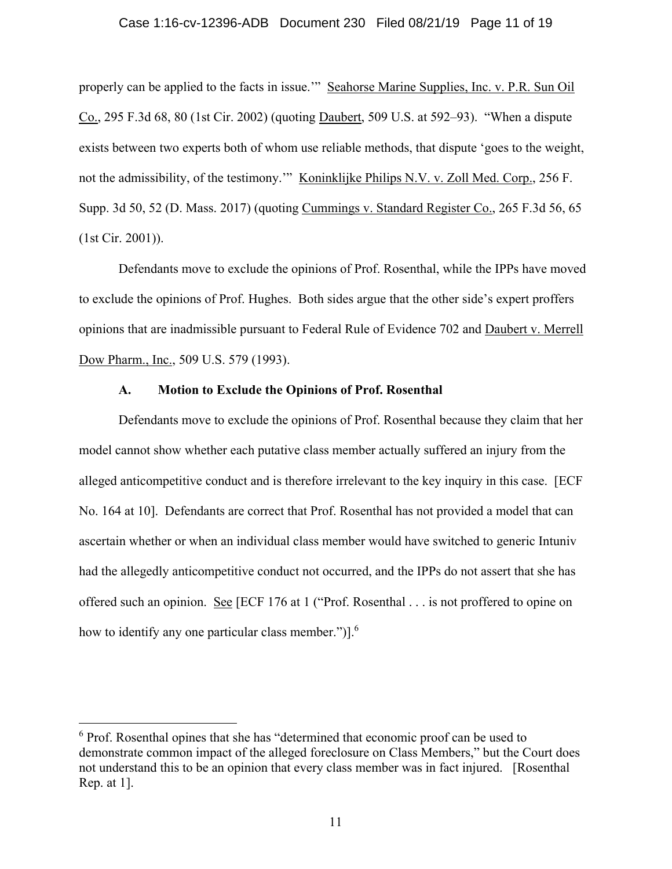#### Case 1:16-cv-12396-ADB Document 230 Filed 08/21/19 Page 11 of 19

properly can be applied to the facts in issue.'" Seahorse Marine Supplies, Inc. v. P.R. Sun Oil Co., 295 F.3d 68, 80 (1st Cir. 2002) (quoting Daubert, 509 U.S. at 592–93). "When a dispute exists between two experts both of whom use reliable methods, that dispute 'goes to the weight, not the admissibility, of the testimony.'" Koninklijke Philips N.V. v. Zoll Med. Corp., 256 F. Supp. 3d 50, 52 (D. Mass. 2017) (quoting Cummings v. Standard Register Co., 265 F.3d 56, 65 (1st Cir. 2001)).

 Defendants move to exclude the opinions of Prof. Rosenthal, while the IPPs have moved to exclude the opinions of Prof. Hughes. Both sides argue that the other side's expert proffers opinions that are inadmissible pursuant to Federal Rule of Evidence 702 and Daubert v. Merrell Dow Pharm., Inc., 509 U.S. 579 (1993).

## **A. Motion to Exclude the Opinions of Prof. Rosenthal**

 Defendants move to exclude the opinions of Prof. Rosenthal because they claim that her model cannot show whether each putative class member actually suffered an injury from the alleged anticompetitive conduct and is therefore irrelevant to the key inquiry in this case. [ECF No. 164 at 10]. Defendants are correct that Prof. Rosenthal has not provided a model that can ascertain whether or when an individual class member would have switched to generic Intuniv had the allegedly anticompetitive conduct not occurred, and the IPPs do not assert that she has offered such an opinion. See [ECF 176 at 1 ("Prof. Rosenthal . . . is not proffered to opine on how to identify any one particular class member.")].<sup>6</sup>

<sup>&</sup>lt;sup>6</sup> Prof. Rosenthal opines that she has "determined that economic proof can be used to demonstrate common impact of the alleged foreclosure on Class Members," but the Court does not understand this to be an opinion that every class member was in fact injured. [Rosenthal Rep. at 1].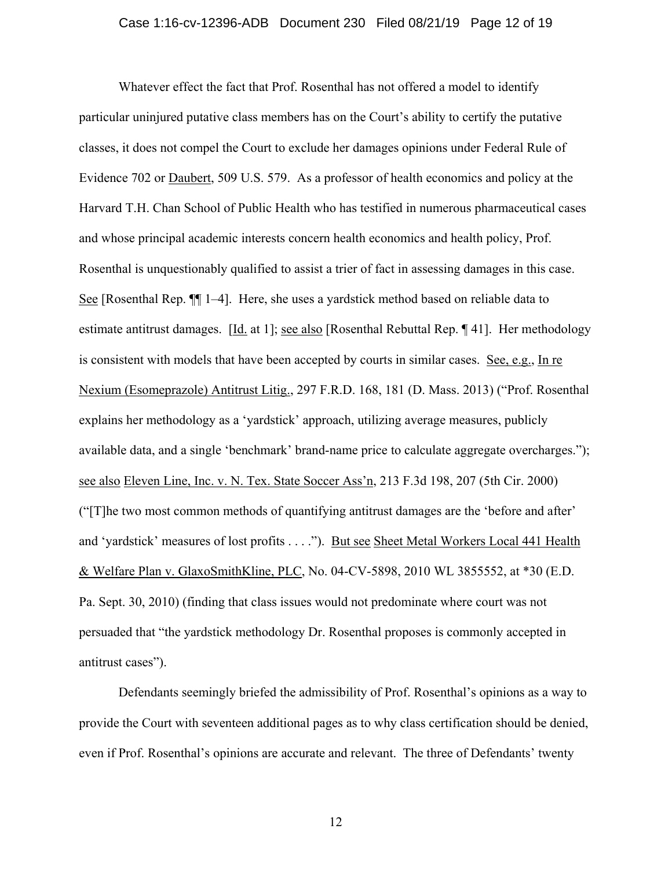## Case 1:16-cv-12396-ADB Document 230 Filed 08/21/19 Page 12 of 19

Whatever effect the fact that Prof. Rosenthal has not offered a model to identify particular uninjured putative class members has on the Court's ability to certify the putative classes, it does not compel the Court to exclude her damages opinions under Federal Rule of Evidence 702 or Daubert, 509 U.S. 579. As a professor of health economics and policy at the Harvard T.H. Chan School of Public Health who has testified in numerous pharmaceutical cases and whose principal academic interests concern health economics and health policy, Prof. Rosenthal is unquestionably qualified to assist a trier of fact in assessing damages in this case. See [Rosenthal Rep. ¶¶ 1–4]. Here, she uses a yardstick method based on reliable data to estimate antitrust damages. [Id. at 1]; see also [Rosenthal Rebuttal Rep. ¶ 41]. Her methodology is consistent with models that have been accepted by courts in similar cases. See, e.g., In re Nexium (Esomeprazole) Antitrust Litig., 297 F.R.D. 168, 181 (D. Mass. 2013) ("Prof. Rosenthal explains her methodology as a 'yardstick' approach, utilizing average measures, publicly available data, and a single 'benchmark' brand-name price to calculate aggregate overcharges."); see also Eleven Line, Inc. v. N. Tex. State Soccer Ass'n, 213 F.3d 198, 207 (5th Cir. 2000) ("[T]he two most common methods of quantifying antitrust damages are the 'before and after' and 'yardstick' measures of lost profits . . . ."). But see Sheet Metal Workers Local 441 Health & Welfare Plan v. GlaxoSmithKline, PLC, No. 04-CV-5898, 2010 WL 3855552, at \*30 (E.D. Pa. Sept. 30, 2010) (finding that class issues would not predominate where court was not persuaded that "the yardstick methodology Dr. Rosenthal proposes is commonly accepted in antitrust cases").

Defendants seemingly briefed the admissibility of Prof. Rosenthal's opinions as a way to provide the Court with seventeen additional pages as to why class certification should be denied, even if Prof. Rosenthal's opinions are accurate and relevant. The three of Defendants' twenty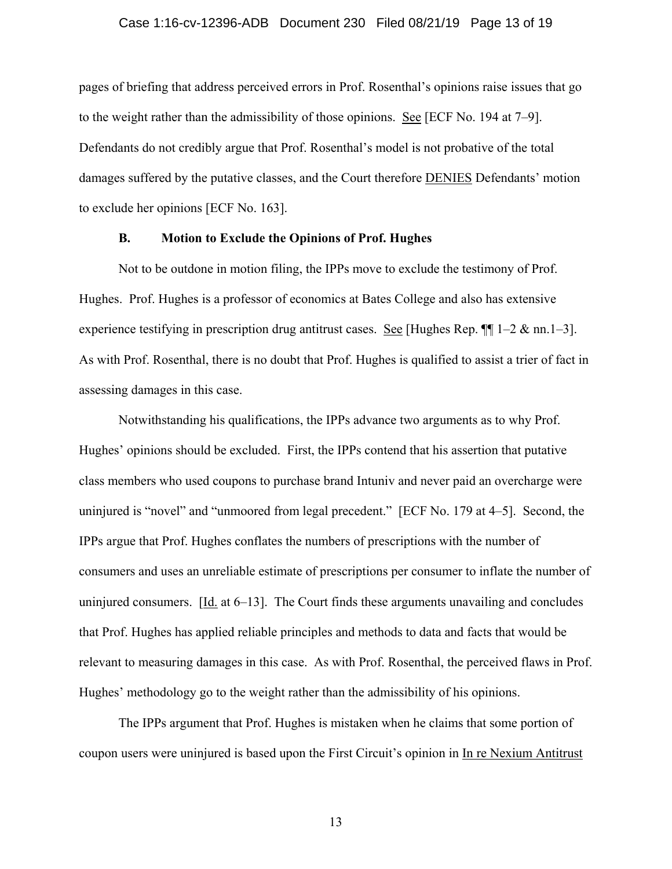## Case 1:16-cv-12396-ADB Document 230 Filed 08/21/19 Page 13 of 19

pages of briefing that address perceived errors in Prof. Rosenthal's opinions raise issues that go to the weight rather than the admissibility of those opinions. See [ECF No. 194 at 7–9]. Defendants do not credibly argue that Prof. Rosenthal's model is not probative of the total damages suffered by the putative classes, and the Court therefore DENIES Defendants' motion to exclude her opinions [ECF No. 163].

# **B. Motion to Exclude the Opinions of Prof. Hughes**

Not to be outdone in motion filing, the IPPs move to exclude the testimony of Prof. Hughes. Prof. Hughes is a professor of economics at Bates College and also has extensive experience testifying in prescription drug antitrust cases. See [Hughes Rep.  $\P$ ] 1–2 & nn.1–3]. As with Prof. Rosenthal, there is no doubt that Prof. Hughes is qualified to assist a trier of fact in assessing damages in this case.

Notwithstanding his qualifications, the IPPs advance two arguments as to why Prof. Hughes' opinions should be excluded. First, the IPPs contend that his assertion that putative class members who used coupons to purchase brand Intuniv and never paid an overcharge were uninjured is "novel" and "unmoored from legal precedent." [ECF No. 179 at 4–5]. Second, the IPPs argue that Prof. Hughes conflates the numbers of prescriptions with the number of consumers and uses an unreliable estimate of prescriptions per consumer to inflate the number of uninjured consumers. [Id. at 6–13]. The Court finds these arguments unavailing and concludes that Prof. Hughes has applied reliable principles and methods to data and facts that would be relevant to measuring damages in this case. As with Prof. Rosenthal, the perceived flaws in Prof. Hughes' methodology go to the weight rather than the admissibility of his opinions.

The IPPs argument that Prof. Hughes is mistaken when he claims that some portion of coupon users were uninjured is based upon the First Circuit's opinion in In re Nexium Antitrust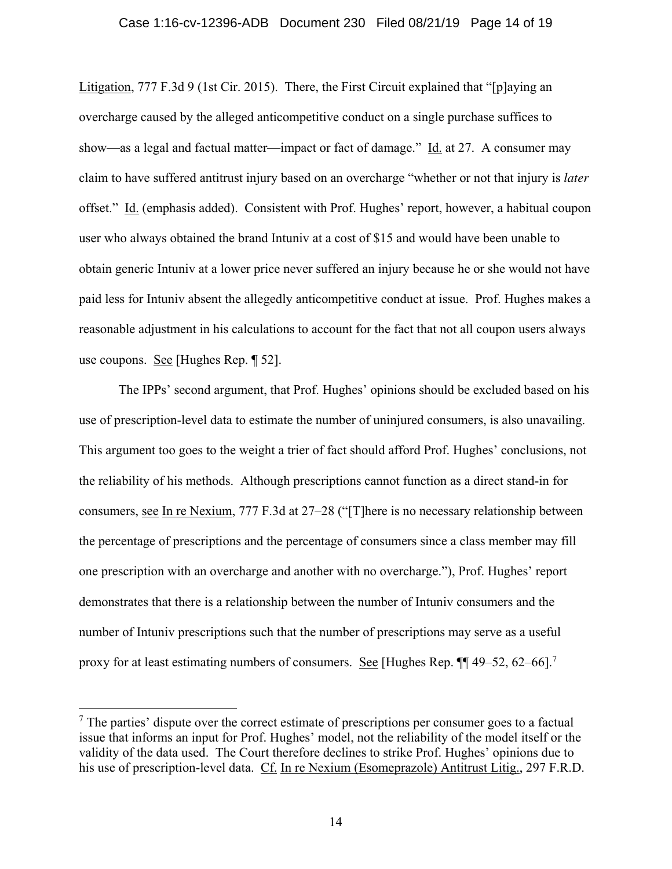Litigation, 777 F.3d 9 (1st Cir. 2015). There, the First Circuit explained that "[p]aying an overcharge caused by the alleged anticompetitive conduct on a single purchase suffices to show—as a legal and factual matter—impact or fact of damage." Id. at 27. A consumer may claim to have suffered antitrust injury based on an overcharge "whether or not that injury is *later* offset." Id. (emphasis added). Consistent with Prof. Hughes' report, however, a habitual coupon user who always obtained the brand Intuniv at a cost of \$15 and would have been unable to obtain generic Intuniv at a lower price never suffered an injury because he or she would not have paid less for Intuniv absent the allegedly anticompetitive conduct at issue. Prof. Hughes makes a reasonable adjustment in his calculations to account for the fact that not all coupon users always use coupons. See [Hughes Rep. ¶ 52].

The IPPs' second argument, that Prof. Hughes' opinions should be excluded based on his use of prescription-level data to estimate the number of uninjured consumers, is also unavailing. This argument too goes to the weight a trier of fact should afford Prof. Hughes' conclusions, not the reliability of his methods. Although prescriptions cannot function as a direct stand-in for consumers, see In re Nexium, 777 F.3d at 27–28 ("[T]here is no necessary relationship between the percentage of prescriptions and the percentage of consumers since a class member may fill one prescription with an overcharge and another with no overcharge."), Prof. Hughes' report demonstrates that there is a relationship between the number of Intuniv consumers and the number of Intuniv prescriptions such that the number of prescriptions may serve as a useful proxy for at least estimating numbers of consumers. See [Hughes Rep.  $\P$ ] 49–52, 62–66].<sup>7</sup>

 $<sup>7</sup>$  The parties' dispute over the correct estimate of prescriptions per consumer goes to a factual</sup> issue that informs an input for Prof. Hughes' model, not the reliability of the model itself or the validity of the data used. The Court therefore declines to strike Prof. Hughes' opinions due to his use of prescription-level data. Cf. In re Nexium (Esomeprazole) Antitrust Litig., 297 F.R.D.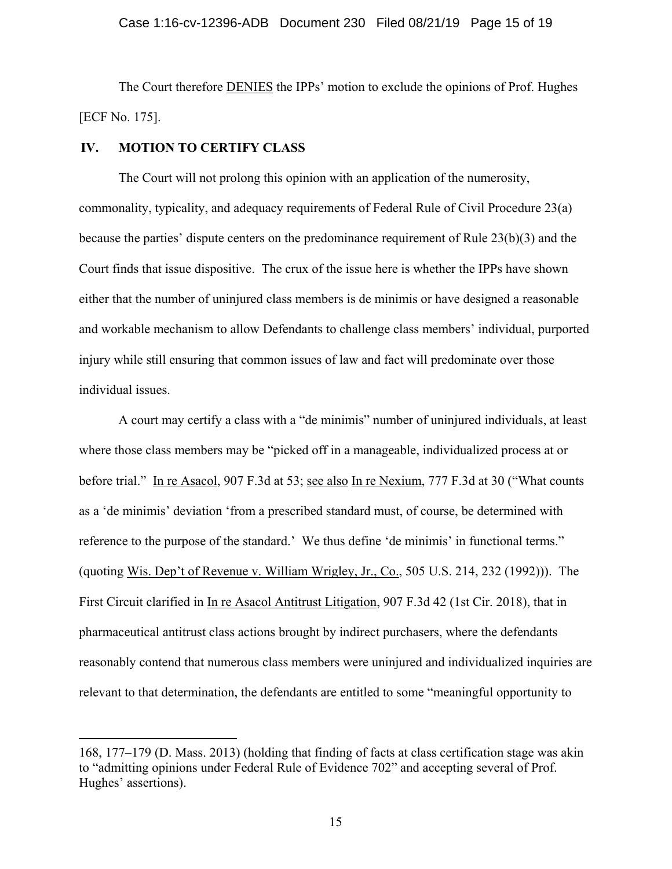The Court therefore DENIES the IPPs' motion to exclude the opinions of Prof. Hughes [ECF No. 175].

# **IV. MOTION TO CERTIFY CLASS**

The Court will not prolong this opinion with an application of the numerosity, commonality, typicality, and adequacy requirements of Federal Rule of Civil Procedure 23(a) because the parties' dispute centers on the predominance requirement of Rule 23(b)(3) and the Court finds that issue dispositive. The crux of the issue here is whether the IPPs have shown either that the number of uninjured class members is de minimis or have designed a reasonable and workable mechanism to allow Defendants to challenge class members' individual, purported injury while still ensuring that common issues of law and fact will predominate over those individual issues.

A court may certify a class with a "de minimis" number of uninjured individuals, at least where those class members may be "picked off in a manageable, individualized process at or before trial." In re Asacol, 907 F.3d at 53; see also In re Nexium, 777 F.3d at 30 ("What counts as a 'de minimis' deviation 'from a prescribed standard must, of course, be determined with reference to the purpose of the standard.' We thus define 'de minimis' in functional terms." (quoting Wis. Dep't of Revenue v. William Wrigley, Jr., Co., 505 U.S. 214, 232 (1992))). The First Circuit clarified in In re Asacol Antitrust Litigation, 907 F.3d 42 (1st Cir. 2018), that in pharmaceutical antitrust class actions brought by indirect purchasers, where the defendants reasonably contend that numerous class members were uninjured and individualized inquiries are relevant to that determination, the defendants are entitled to some "meaningful opportunity to

<sup>168, 177–179 (</sup>D. Mass. 2013) (holding that finding of facts at class certification stage was akin to "admitting opinions under Federal Rule of Evidence 702" and accepting several of Prof. Hughes' assertions).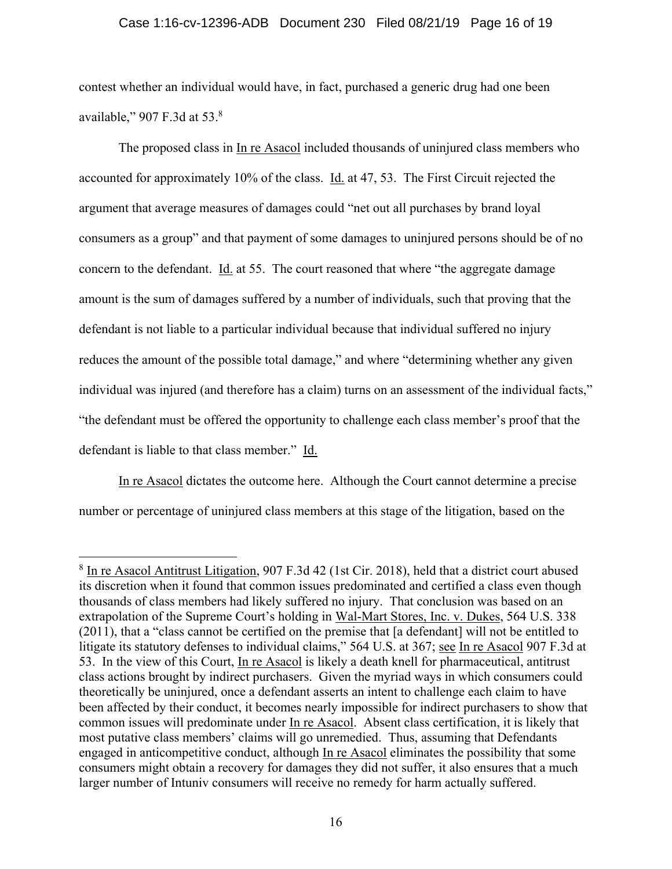# Case 1:16-cv-12396-ADB Document 230 Filed 08/21/19 Page 16 of 19

contest whether an individual would have, in fact, purchased a generic drug had one been available," 907 F.3d at 53.<sup>8</sup>

The proposed class in In re Asacol included thousands of uninjured class members who accounted for approximately 10% of the class. Id. at 47, 53. The First Circuit rejected the argument that average measures of damages could "net out all purchases by brand loyal consumers as a group" and that payment of some damages to uninjured persons should be of no concern to the defendant. Id. at 55. The court reasoned that where "the aggregate damage amount is the sum of damages suffered by a number of individuals, such that proving that the defendant is not liable to a particular individual because that individual suffered no injury reduces the amount of the possible total damage," and where "determining whether any given individual was injured (and therefore has a claim) turns on an assessment of the individual facts," "the defendant must be offered the opportunity to challenge each class member's proof that the defendant is liable to that class member." Id.

In re Asacol dictates the outcome here. Although the Court cannot determine a precise number or percentage of uninjured class members at this stage of the litigation, based on the

<sup>&</sup>lt;sup>8</sup> In re Asacol Antitrust Litigation, 907 F.3d 42 (1st Cir. 2018), held that a district court abused its discretion when it found that common issues predominated and certified a class even though thousands of class members had likely suffered no injury. That conclusion was based on an extrapolation of the Supreme Court's holding in Wal-Mart Stores, Inc. v. Dukes, 564 U.S. 338 (2011), that a "class cannot be certified on the premise that [a defendant] will not be entitled to litigate its statutory defenses to individual claims," 564 U.S. at 367; see In re Asacol 907 F.3d at 53. In the view of this Court, In re Asacol is likely a death knell for pharmaceutical, antitrust class actions brought by indirect purchasers. Given the myriad ways in which consumers could theoretically be uninjured, once a defendant asserts an intent to challenge each claim to have been affected by their conduct, it becomes nearly impossible for indirect purchasers to show that common issues will predominate under In re Asacol. Absent class certification, it is likely that most putative class members' claims will go unremedied. Thus, assuming that Defendants engaged in anticompetitive conduct, although In re Asacol eliminates the possibility that some consumers might obtain a recovery for damages they did not suffer, it also ensures that a much larger number of Intuniv consumers will receive no remedy for harm actually suffered.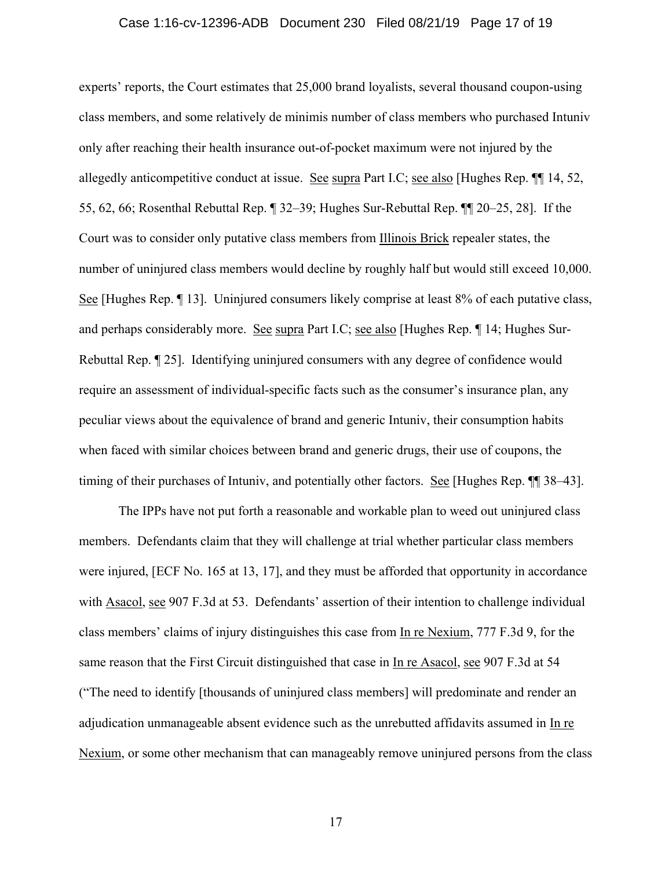#### Case 1:16-cv-12396-ADB Document 230 Filed 08/21/19 Page 17 of 19

experts' reports, the Court estimates that 25,000 brand loyalists, several thousand coupon-using class members, and some relatively de minimis number of class members who purchased Intuniv only after reaching their health insurance out-of-pocket maximum were not injured by the allegedly anticompetitive conduct at issue. See supra Part I.C; see also [Hughes Rep. ¶¶ 14, 52, 55, 62, 66; Rosenthal Rebuttal Rep. ¶ 32–39; Hughes Sur-Rebuttal Rep. ¶¶ 20–25, 28]. If the Court was to consider only putative class members from Illinois Brick repealer states, the number of uninjured class members would decline by roughly half but would still exceed 10,000. See [Hughes Rep. ¶ 13]. Uninjured consumers likely comprise at least 8% of each putative class, and perhaps considerably more. See supra Part I.C; see also [Hughes Rep. ¶ 14; Hughes Sur-Rebuttal Rep. ¶ 25]. Identifying uninjured consumers with any degree of confidence would require an assessment of individual-specific facts such as the consumer's insurance plan, any peculiar views about the equivalence of brand and generic Intuniv, their consumption habits when faced with similar choices between brand and generic drugs, their use of coupons, the timing of their purchases of Intuniv, and potentially other factors. See [Hughes Rep. ¶¶ 38–43].

The IPPs have not put forth a reasonable and workable plan to weed out uninjured class members. Defendants claim that they will challenge at trial whether particular class members were injured, [ECF No. 165 at 13, 17], and they must be afforded that opportunity in accordance with Asacol, see 907 F.3d at 53. Defendants' assertion of their intention to challenge individual class members' claims of injury distinguishes this case from In re Nexium, 777 F.3d 9, for the same reason that the First Circuit distinguished that case in In re Asacol, see 907 F.3d at 54 ("The need to identify [thousands of uninjured class members] will predominate and render an adjudication unmanageable absent evidence such as the unrebutted affidavits assumed in In re Nexium, or some other mechanism that can manageably remove uninjured persons from the class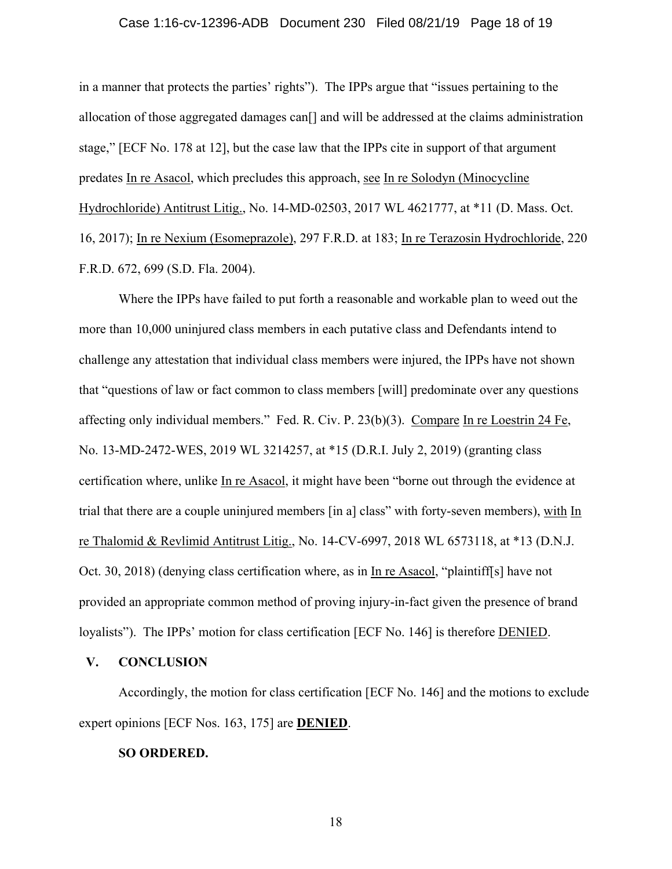## Case 1:16-cv-12396-ADB Document 230 Filed 08/21/19 Page 18 of 19

in a manner that protects the parties' rights"). The IPPs argue that "issues pertaining to the allocation of those aggregated damages can<sup>[]</sup> and will be addressed at the claims administration stage," [ECF No. 178 at 12], but the case law that the IPPs cite in support of that argument predates In re Asacol, which precludes this approach, see In re Solodyn (Minocycline Hydrochloride) Antitrust Litig., No. 14-MD-02503, 2017 WL 4621777, at \*11 (D. Mass. Oct. 16, 2017); In re Nexium (Esomeprazole), 297 F.R.D. at 183; In re Terazosin Hydrochloride, 220 F.R.D. 672, 699 (S.D. Fla. 2004).

Where the IPPs have failed to put forth a reasonable and workable plan to weed out the more than 10,000 uninjured class members in each putative class and Defendants intend to challenge any attestation that individual class members were injured, the IPPs have not shown that "questions of law or fact common to class members [will] predominate over any questions affecting only individual members." Fed. R. Civ. P. 23(b)(3). Compare In re Loestrin 24 Fe, No. 13-MD-2472-WES, 2019 WL 3214257, at \*15 (D.R.I. July 2, 2019) (granting class certification where, unlike In re Asacol, it might have been "borne out through the evidence at trial that there are a couple uninjured members [in a] class" with forty-seven members), with In re Thalomid & Revlimid Antitrust Litig., No. 14-CV-6997, 2018 WL 6573118, at \*13 (D.N.J. Oct. 30, 2018) (denying class certification where, as in In re Asacol, "plaintiff[s] have not provided an appropriate common method of proving injury-in-fact given the presence of brand loyalists"). The IPPs' motion for class certification [ECF No. 146] is therefore DENIED.

## **V. CONCLUSION**

Accordingly, the motion for class certification [ECF No. 146] and the motions to exclude expert opinions [ECF Nos. 163, 175] are **DENIED**.

## **SO ORDERED.**